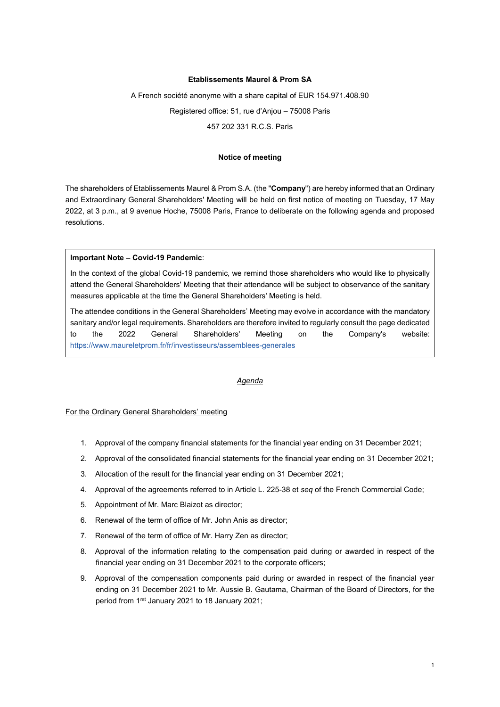### **Etablissements Maurel & Prom SA**

A French société anonyme with a share capital of EUR 154.971.408.90

Registered office: 51, rue d'Anjou – 75008 Paris

457 202 331 R.C.S. Paris

### **Notice of meeting**

The shareholders of Etablissements Maurel & Prom S.A. (the "**Company**") are hereby informed that an Ordinary and Extraordinary General Shareholders' Meeting will be held on first notice of meeting on Tuesday, 17 May 2022, at 3 p.m., at 9 avenue Hoche, 75008 Paris, France to deliberate on the following agenda and proposed resolutions.

### **Important Note – Covid-19 Pandemic**:

In the context of the global Covid-19 pandemic, we remind those shareholders who would like to physically attend the General Shareholders' Meeting that their attendance will be subject to observance of the sanitary measures applicable at the time the General Shareholders' Meeting is held.

The attendee conditions in the General Shareholders' Meeting may evolve in accordance with the mandatory sanitary and/or legal requirements. Shareholders are therefore invited to regularly consult the page dedicated to the 2022 General Shareholders' Meeting on the Company's website: <https://www.maureletprom.fr/fr/investisseurs/assemblees-generales>

### *Agenda*

#### For the Ordinary General Shareholders' meeting

- 1. Approval of the company financial statements for the financial year ending on 31 December 2021;
- 2. Approval of the consolidated financial statements for the financial year ending on 31 December 2021;
- 3. Allocation of the result for the financial year ending on 31 December 2021;
- 4. Approval of the agreements referred to in Article L. 225-38 et *seq* of the French Commercial Code;
- 5. Appointment of Mr. Marc Blaizot as director;
- 6. Renewal of the term of office of Mr. John Anis as director;
- 7. Renewal of the term of office of Mr. Harry Zen as director;
- 8. Approval of the information relating to the compensation paid during or awarded in respect of the financial year ending on 31 December 2021 to the corporate officers;
- 9. Approval of the compensation components paid during or awarded in respect of the financial year ending on 31 December 2021 to Mr. Aussie B. Gautama, Chairman of the Board of Directors, for the period from 1<sup>rst</sup> January 2021 to 18 January 2021;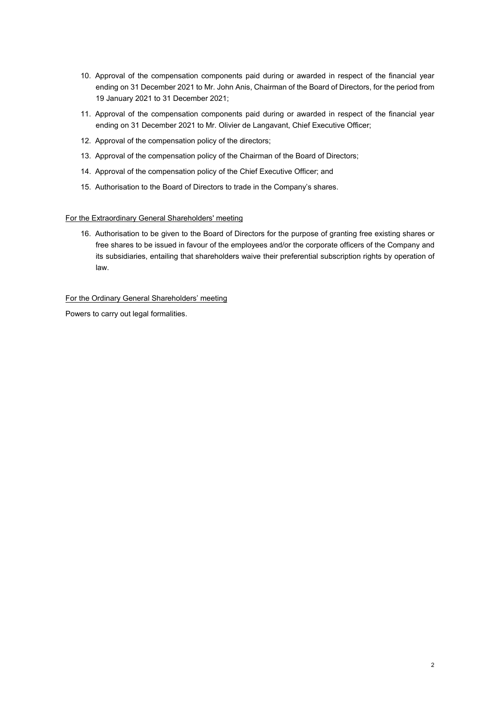- 10. Approval of the compensation components paid during or awarded in respect of the financial year ending on 31 December 2021 to Mr. John Anis, Chairman of the Board of Directors, for the period from 19 January 2021 to 31 December 2021;
- 11. Approval of the compensation components paid during or awarded in respect of the financial year ending on 31 December 2021 to Mr. Olivier de Langavant, Chief Executive Officer;
- 12. Approval of the compensation policy of the directors;
- 13. Approval of the compensation policy of the Chairman of the Board of Directors;
- 14. Approval of the compensation policy of the Chief Executive Officer; and
- 15. Authorisation to the Board of Directors to trade in the Company's shares.

# For the Extraordinary General Shareholders' meeting

16. Authorisation to be given to the Board of Directors for the purpose of granting free existing shares or free shares to be issued in favour of the employees and/or the corporate officers of the Company and its subsidiaries, entailing that shareholders waive their preferential subscription rights by operation of law.

# For the Ordinary General Shareholders' meeting

Powers to carry out legal formalities.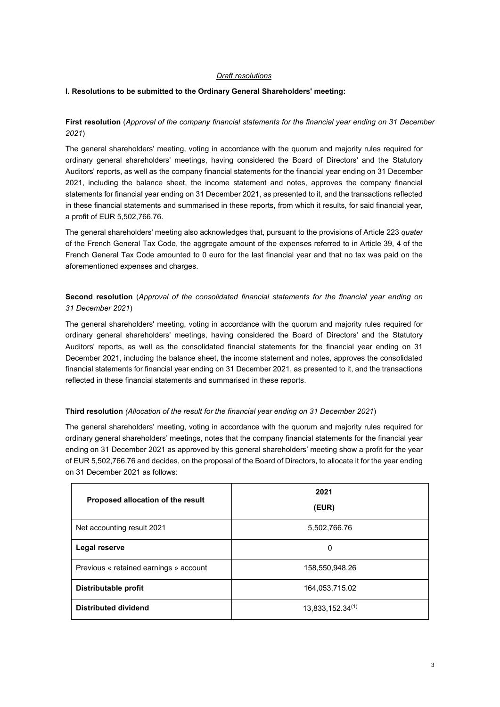## *Draft resolutions*

## **I. Resolutions to be submitted to the Ordinary General Shareholders' meeting:**

# **First resolution** (*Approval of the company financial statements for the financial year ending on 31 December 2021*)

The general shareholders' meeting, voting in accordance with the quorum and majority rules required for ordinary general shareholders' meetings, having considered the Board of Directors' and the Statutory Auditors' reports, as well as the company financial statements for the financial year ending on 31 December 2021, including the balance sheet, the income statement and notes, approves the company financial statements for financial year ending on 31 December 2021, as presented to it, and the transactions reflected in these financial statements and summarised in these reports, from which it results, for said financial year, a profit of EUR 5,502,766.76.

The general shareholders' meeting also acknowledges that, pursuant to the provisions of Article 223 *quater* of the French General Tax Code, the aggregate amount of the expenses referred to in Article 39, 4 of the French General Tax Code amounted to 0 euro for the last financial year and that no tax was paid on the aforementioned expenses and charges.

**Second resolution** (*Approval of the consolidated financial statements for the financial year ending on 31 December 2021*)

The general shareholders' meeting, voting in accordance with the quorum and majority rules required for ordinary general shareholders' meetings, having considered the Board of Directors' and the Statutory Auditors' reports, as well as the consolidated financial statements for the financial year ending on 31 December 2021, including the balance sheet, the income statement and notes, approves the consolidated financial statements for financial year ending on 31 December 2021, as presented to it, and the transactions reflected in these financial statements and summarised in these reports.

## **Third resolution** *(Allocation of the result for the financial year ending on 31 December 2021*)

The general shareholders' meeting, voting in accordance with the quorum and majority rules required for ordinary general shareholders' meetings, notes that the company financial statements for the financial year ending on 31 December 2021 as approved by this general shareholders' meeting show a profit for the year of EUR 5,502,766.76 and decides, on the proposal of the Board of Directors, to allocate it for the year ending on 31 December 2021 as follows:

| Proposed allocation of the result      | 2021<br>(EUR)    |
|----------------------------------------|------------------|
| Net accounting result 2021             | 5,502,766.76     |
| Legal reserve                          | 0                |
| Previous « retained earnings » account | 158,550,948.26   |
| Distributable profit                   | 164,053,715.02   |
| <b>Distributed dividend</b>            | 13,833,152.34(1) |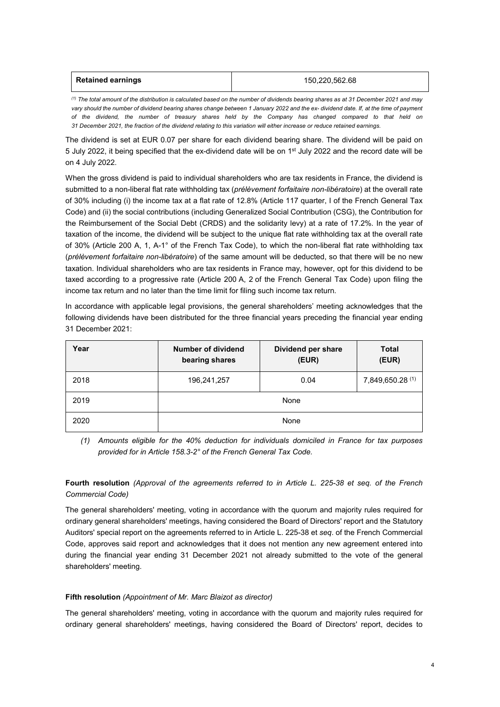| <b>Retained earnings</b> | 150,220,562.68 |
|--------------------------|----------------|
|                          |                |

*(1) The total amount of the distribution is calculated based on the number of dividends bearing shares as at 31 December 2021 and may vary should the number of dividend bearing shares change between 1 January 2022 and the ex- dividend date. If, at the time of payment of the dividend, the number of treasury shares held by the Company has changed compared to that held on 31 December 2021, the fraction of the dividend relating to this variation will either increase or reduce retained earnings.*

The dividend is set at EUR 0.07 per share for each dividend bearing share. The dividend will be paid on 5 July 2022, it being specified that the ex-dividend date will be on 1<sup>st</sup> July 2022 and the record date will be on 4 July 2022.

When the gross dividend is paid to individual shareholders who are tax residents in France, the dividend is submitted to a non-liberal flat rate withholding tax (*prélèvement forfaitaire non-libératoire*) at the overall rate of 30% including (i) the income tax at a flat rate of 12.8% (Article 117 quarter, I of the French General Tax Code) and (ii) the social contributions (including Generalized Social Contribution (CSG), the Contribution for the Reimbursement of the Social Debt (CRDS) and the solidarity levy) at a rate of 17.2%. In the year of taxation of the income, the dividend will be subject to the unique flat rate withholding tax at the overall rate of 30% (Article 200 A, 1, A-1° of the French Tax Code), to which the non-liberal flat rate withholding tax (*prélèvement forfaitaire non-libératoire*) of the same amount will be deducted, so that there will be no new taxation. Individual shareholders who are tax residents in France may, however, opt for this dividend to be taxed according to a progressive rate (Article 200 A, 2 of the French General Tax Code) upon filing the income tax return and no later than the time limit for filing such income tax return.

In accordance with applicable legal provisions, the general shareholders' meeting acknowledges that the following dividends have been distributed for the three financial years preceding the financial year ending 31 December 2021:

| Year | Number of dividend<br>bearing shares | Dividend per share<br>(EUR) | Total<br>(EUR)   |
|------|--------------------------------------|-----------------------------|------------------|
| 2018 | 196,241,257                          | 0.04                        | 7,849,650.28 (1) |
| 2019 |                                      | None                        |                  |
| 2020 |                                      | None                        |                  |

*(1) Amounts eligible for the 40% deduction for individuals domiciled in France for tax purposes provided for in Article 158.3-2° of the French General Tax Code.*

# **Fourth resolution** *(Approval of the agreements referred to in Article L. 225-38 et seq. of the French Commercial Code)*

The general shareholders' meeting, voting in accordance with the quorum and majority rules required for ordinary general shareholders' meetings, having considered the Board of Directors' report and the Statutory Auditors' special report on the agreements referred to in Article L. 225-38 et *seq*. of the French Commercial Code, approves said report and acknowledges that it does not mention any new agreement entered into during the financial year ending 31 December 2021 not already submitted to the vote of the general shareholders' meeting.

## **Fifth resolution** *(Appointment of Mr. Marc Blaizot as director)*

The general shareholders' meeting, voting in accordance with the quorum and majority rules required for ordinary general shareholders' meetings, having considered the Board of Directors' report, decides to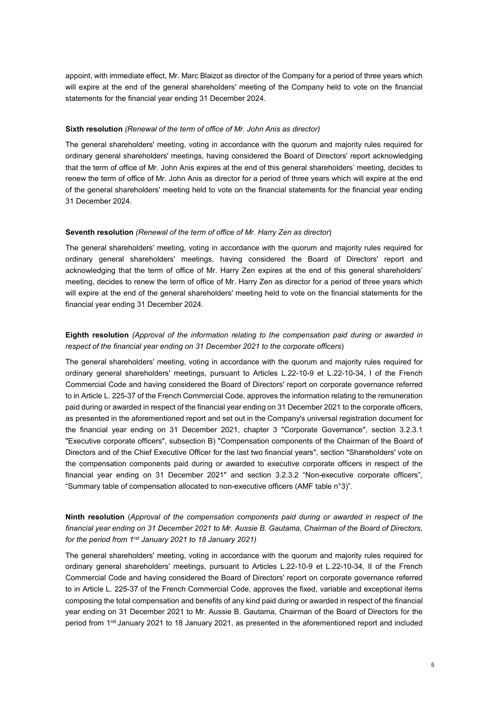appoint, with immediate effect, Mr. Marc Blaizot as director of the Company for a period of three years which will expire at the end of the general shareholders' meeting of the Company held to vote on the financial statements for the financial year ending 31 December 2024.

#### **Sixth resolution** *(Renewal of the term of office of Mr. John Anis as director)*

The general shareholders' meeting, voting in accordance with the quorum and majority rules required for ordinary general shareholders' meetings, having considered the Board of Directors' report acknowledging that the term of office of Mr. John Anis expires at the end of this general shareholders' meeting, decides to renew the term of office of Mr. John Anis as director for a period of three years which will expire at the end of the general shareholders' meeting held to vote on the financial statements for the financial year ending 31 December 2024.

#### **Seventh resolution** *(Renewal of the term of office of Mr. Harry Zen as director*)

The general shareholders' meeting, voting in accordance with the quorum and majority rules required for ordinary general shareholders' meetings, having considered the Board of Directors' report and acknowledging that the term of office of Mr. Harry Zen expires at the end of this general shareholders' meeting, decides to renew the term of office of Mr. Harry Zen as director for a period of three years which will expire at the end of the general shareholders' meeting held to vote on the financial statements for the financial year ending 31 December 2024.

# **Eighth resolution** *(Approval of the information relating to the compensation paid during or awarded in respect of the financial year ending on 31 December 2021 to the corporate officers*)

The general shareholders' meeting, voting in accordance with the quorum and majority rules required for ordinary general shareholders' meetings, pursuant to Articles L.22-10-9 et L.22-10-34, I of the French Commercial Code and having considered the Board of Directors' report on corporate governance referred to in Article L. 225-37 of the French Commercial Code, approves the information relating to the remuneration paid during or awarded in respect of the financial year ending on 31 December 2021 to the corporate officers, as presented in the aforementioned report and set out in the Company's universal registration document for the financial year ending on 31 December 2021, chapter 3 "Corporate Governance", section 3.2.3.1 "Executive corporate officers", subsection B) "Compensation components of the Chairman of the Board of Directors and of the Chief Executive Officer for the last two financial years", section "Shareholders' vote on the compensation components paid during or awarded to executive corporate officers in respect of the financial year ending on 31 December 2021" and section 3.2.3.2 "Non-executive corporate officers", "Summary table of compensation allocated to non-executive officers (AMF table n°3)".

# **Ninth resolution** (*Approval of the compensation components paid during or awarded in respect of the financial year ending on 31 December 2021 to Mr. Aussie B. Gautama, Chairman of the Board of Directors, for the period from 1rst January 2021 to 18 January 2021)*

The general shareholders' meeting, voting in accordance with the quorum and majority rules required for ordinary general shareholders' meetings, pursuant to Articles L.22-10-9 et L.22-10-34, II of the French Commercial Code and having considered the Board of Directors' report on corporate governance referred to in Article L. 225-37 of the French Commercial Code, approves the fixed, variable and exceptional items composing the total compensation and benefits of any kind paid during or awarded in respect of the financial year ending on 31 December 2021 to Mr. Aussie B. Gautama, Chairman of the Board of Directors for the period from 1rst January 2021 to 18 January 2021, as presented in the aforementioned report and included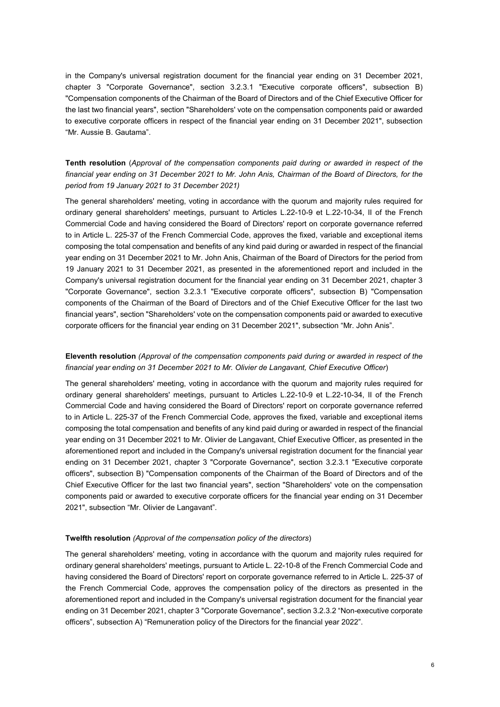in the Company's universal registration document for the financial year ending on 31 December 2021, chapter 3 "Corporate Governance", section 3.2.3.1 "Executive corporate officers", subsection B) "Compensation components of the Chairman of the Board of Directors and of the Chief Executive Officer for the last two financial years", section "Shareholders' vote on the compensation components paid or awarded to executive corporate officers in respect of the financial year ending on 31 December 2021", subsection "Mr. Aussie B. Gautama".

# **Tenth resolution** (*Approval of the compensation components paid during or awarded in respect of the financial year ending on 31 December 2021 to Mr. John Anis, Chairman of the Board of Directors, for the period from 19 January 2021 to 31 December 2021)*

The general shareholders' meeting, voting in accordance with the quorum and majority rules required for ordinary general shareholders' meetings, pursuant to Articles L.22-10-9 et L.22-10-34, II of the French Commercial Code and having considered the Board of Directors' report on corporate governance referred to in Article L. 225-37 of the French Commercial Code, approves the fixed, variable and exceptional items composing the total compensation and benefits of any kind paid during or awarded in respect of the financial year ending on 31 December 2021 to Mr. John Anis, Chairman of the Board of Directors for the period from 19 January 2021 to 31 December 2021, as presented in the aforementioned report and included in the Company's universal registration document for the financial year ending on 31 December 2021, chapter 3 "Corporate Governance", section 3.2.3.1 "Executive corporate officers", subsection B) "Compensation components of the Chairman of the Board of Directors and of the Chief Executive Officer for the last two financial years", section "Shareholders' vote on the compensation components paid or awarded to executive corporate officers for the financial year ending on 31 December 2021", subsection "Mr. John Anis".

## **Eleventh resolution** *(Approval of the compensation components paid during or awarded in respect of the financial year ending on 31 December 2021 to Mr. Olivier de Langavant, Chief Executive Officer*)

The general shareholders' meeting, voting in accordance with the quorum and majority rules required for ordinary general shareholders' meetings, pursuant to Articles L.22-10-9 et L.22-10-34, II of the French Commercial Code and having considered the Board of Directors' report on corporate governance referred to in Article L. 225-37 of the French Commercial Code, approves the fixed, variable and exceptional items composing the total compensation and benefits of any kind paid during or awarded in respect of the financial year ending on 31 December 2021 to Mr. Olivier de Langavant, Chief Executive Officer, as presented in the aforementioned report and included in the Company's universal registration document for the financial year ending on 31 December 2021, chapter 3 "Corporate Governance", section 3.2.3.1 "Executive corporate officers", subsection B) "Compensation components of the Chairman of the Board of Directors and of the Chief Executive Officer for the last two financial years", section "Shareholders' vote on the compensation components paid or awarded to executive corporate officers for the financial year ending on 31 December 2021", subsection "Mr. Olivier de Langavant".

### **Twelfth resolution** *(Approval of the compensation policy of the directors*)

The general shareholders' meeting, voting in accordance with the quorum and majority rules required for ordinary general shareholders' meetings, pursuant to Article L. 22-10-8 of the French Commercial Code and having considered the Board of Directors' report on corporate governance referred to in Article L. 225-37 of the French Commercial Code, approves the compensation policy of the directors as presented in the aforementioned report and included in the Company's universal registration document for the financial year ending on 31 December 2021, chapter 3 "Corporate Governance", section 3.2.3.2 "Non-executive corporate officers", subsection A) "Remuneration policy of the Directors for the financial year 2022".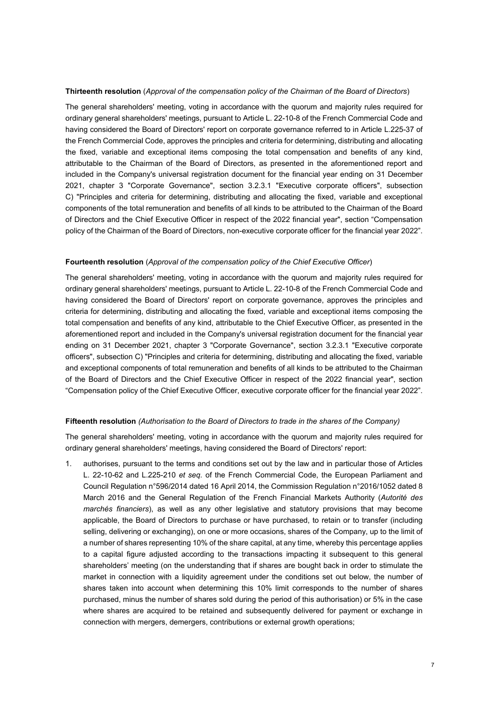#### **Thirteenth resolution** (*Approval of the compensation policy of the Chairman of the Board of Directors*)

The general shareholders' meeting, voting in accordance with the quorum and majority rules required for ordinary general shareholders' meetings, pursuant to Article L. 22-10-8 of the French Commercial Code and having considered the Board of Directors' report on corporate governance referred to in Article L.225-37 of the French Commercial Code, approves the principles and criteria for determining, distributing and allocating the fixed, variable and exceptional items composing the total compensation and benefits of any kind, attributable to the Chairman of the Board of Directors, as presented in the aforementioned report and included in the Company's universal registration document for the financial year ending on 31 December 2021, chapter 3 "Corporate Governance", section 3.2.3.1 "Executive corporate officers", subsection C) "Principles and criteria for determining, distributing and allocating the fixed, variable and exceptional components of the total remuneration and benefits of all kinds to be attributed to the Chairman of the Board of Directors and the Chief Executive Officer in respect of the 2022 financial year", section "Compensation policy of the Chairman of the Board of Directors, non-executive corporate officer for the financial year 2022".

### **Fourteenth resolution** (*Approval of the compensation policy of the Chief Executive Officer*)

The general shareholders' meeting, voting in accordance with the quorum and majority rules required for ordinary general shareholders' meetings, pursuant to Article L. 22-10-8 of the French Commercial Code and having considered the Board of Directors' report on corporate governance, approves the principles and criteria for determining, distributing and allocating the fixed, variable and exceptional items composing the total compensation and benefits of any kind, attributable to the Chief Executive Officer, as presented in the aforementioned report and included in the Company's universal registration document for the financial year ending on 31 December 2021, chapter 3 "Corporate Governance", section 3.2.3.1 "Executive corporate officers", subsection C) "Principles and criteria for determining, distributing and allocating the fixed, variable and exceptional components of total remuneration and benefits of all kinds to be attributed to the Chairman of the Board of Directors and the Chief Executive Officer in respect of the 2022 financial year", section "Compensation policy of the Chief Executive Officer, executive corporate officer for the financial year 2022".

#### **Fifteenth resolution** *(Authorisation to the Board of Directors to trade in the shares of the Company)*

The general shareholders' meeting, voting in accordance with the quorum and majority rules required for ordinary general shareholders' meetings, having considered the Board of Directors' report:

1. authorises, pursuant to the terms and conditions set out by the law and in particular those of Articles L. 22-10-62 and L.225-210 *et seq.* of the French Commercial Code, the European Parliament and Council Regulation n°596/2014 dated 16 April 2014, the Commission Regulation n°2016/1052 dated 8 March 2016 and the General Regulation of the French Financial Markets Authority (*Autorité des marchés financiers*), as well as any other legislative and statutory provisions that may become applicable, the Board of Directors to purchase or have purchased, to retain or to transfer (including selling, delivering or exchanging), on one or more occasions, shares of the Company, up to the limit of a number of shares representing 10% of the share capital, at any time, whereby this percentage applies to a capital figure adjusted according to the transactions impacting it subsequent to this general shareholders' meeting (on the understanding that if shares are bought back in order to stimulate the market in connection with a liquidity agreement under the conditions set out below, the number of shares taken into account when determining this 10% limit corresponds to the number of shares purchased, minus the number of shares sold during the period of this authorisation) or 5% in the case where shares are acquired to be retained and subsequently delivered for payment or exchange in connection with mergers, demergers, contributions or external growth operations;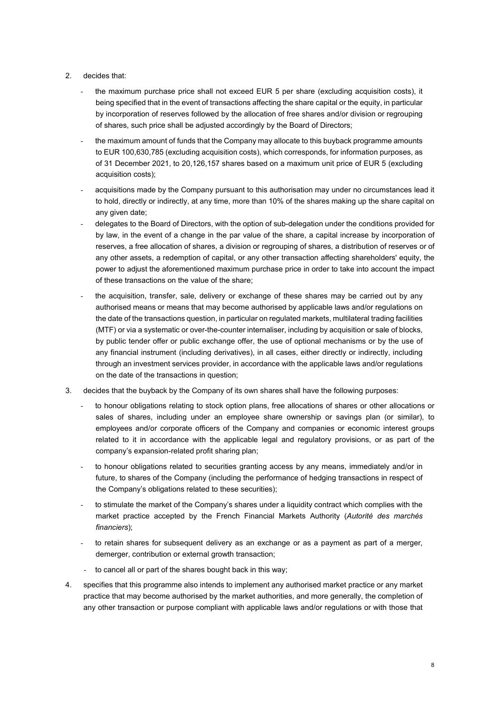## 2. decides that:

- the maximum purchase price shall not exceed EUR 5 per share (excluding acquisition costs), it being specified that in the event of transactions affecting the share capital or the equity, in particular by incorporation of reserves followed by the allocation of free shares and/or division or regrouping of shares, such price shall be adjusted accordingly by the Board of Directors;
- the maximum amount of funds that the Company may allocate to this buyback programme amounts to EUR 100,630,785 (excluding acquisition costs), which corresponds, for information purposes, as of 31 December 2021, to 20,126,157 shares based on a maximum unit price of EUR 5 (excluding acquisition costs);
- acquisitions made by the Company pursuant to this authorisation may under no circumstances lead it to hold, directly or indirectly, at any time, more than 10% of the shares making up the share capital on any given date;
- delegates to the Board of Directors, with the option of sub-delegation under the conditions provided for by law, in the event of a change in the par value of the share, a capital increase by incorporation of reserves, a free allocation of shares, a division or regrouping of shares, a distribution of reserves or of any other assets, a redemption of capital, or any other transaction affecting shareholders' equity, the power to adjust the aforementioned maximum purchase price in order to take into account the impact of these transactions on the value of the share;
- the acquisition, transfer, sale, delivery or exchange of these shares may be carried out by any authorised means or means that may become authorised by applicable laws and/or regulations on the date of the transactions question, in particular on regulated markets, multilateral trading facilities (MTF) or via a systematic or over-the-counter internaliser, including by acquisition or sale of blocks, by public tender offer or public exchange offer, the use of optional mechanisms or by the use of any financial instrument (including derivatives), in all cases, either directly or indirectly, including through an investment services provider, in accordance with the applicable laws and/or regulations on the date of the transactions in question;
- 3. decides that the buyback by the Company of its own shares shall have the following purposes:
	- to honour obligations relating to stock option plans, free allocations of shares or other allocations or sales of shares, including under an employee share ownership or savings plan (or similar), to employees and/or corporate officers of the Company and companies or economic interest groups related to it in accordance with the applicable legal and regulatory provisions, or as part of the company's expansion-related profit sharing plan;
	- to honour obligations related to securities granting access by any means, immediately and/or in future, to shares of the Company (including the performance of hedging transactions in respect of the Company's obligations related to these securities);
	- to stimulate the market of the Company's shares under a liquidity contract which complies with the market practice accepted by the French Financial Markets Authority (*Autorité des marchés financiers*);
	- to retain shares for subsequent delivery as an exchange or as a payment as part of a merger, demerger, contribution or external growth transaction;
	- to cancel all or part of the shares bought back in this way;
- 4. specifies that this programme also intends to implement any authorised market practice or any market practice that may become authorised by the market authorities, and more generally, the completion of any other transaction or purpose compliant with applicable laws and/or regulations or with those that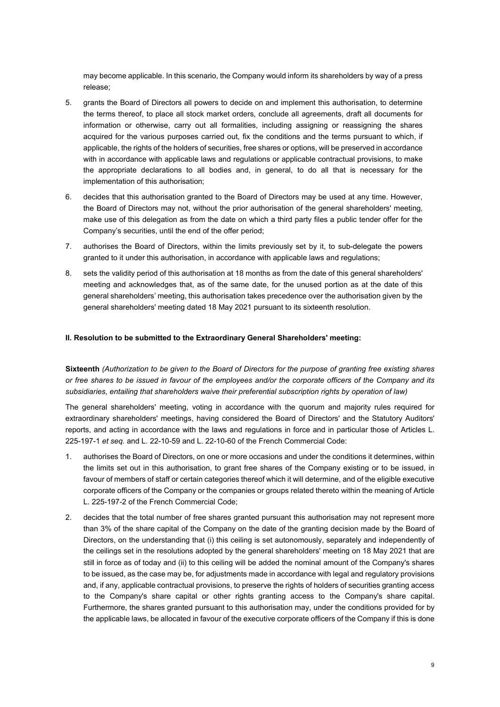may become applicable. In this scenario, the Company would inform its shareholders by way of a press release;

- 5. grants the Board of Directors all powers to decide on and implement this authorisation, to determine the terms thereof, to place all stock market orders, conclude all agreements, draft all documents for information or otherwise, carry out all formalities, including assigning or reassigning the shares acquired for the various purposes carried out, fix the conditions and the terms pursuant to which, if applicable, the rights of the holders of securities, free shares or options, will be preserved in accordance with in accordance with applicable laws and regulations or applicable contractual provisions, to make the appropriate declarations to all bodies and, in general, to do all that is necessary for the implementation of this authorisation;
- 6. decides that this authorisation granted to the Board of Directors may be used at any time. However, the Board of Directors may not, without the prior authorisation of the general shareholders' meeting, make use of this delegation as from the date on which a third party files a public tender offer for the Company's securities, until the end of the offer period;
- 7. authorises the Board of Directors, within the limits previously set by it, to sub-delegate the powers granted to it under this authorisation, in accordance with applicable laws and regulations;
- 8. sets the validity period of this authorisation at 18 months as from the date of this general shareholders' meeting and acknowledges that, as of the same date, for the unused portion as at the date of this general shareholders' meeting, this authorisation takes precedence over the authorisation given by the general shareholders' meeting dated 18 May 2021 pursuant to its sixteenth resolution.

### **II. Resolution to be submitted to the Extraordinary General Shareholders' meeting:**

**Sixteenth** *(Authorization to be given to the Board of Directors for the purpose of granting free existing shares or free shares to be issued in favour of the employees and/or the corporate officers of the Company and its subsidiaries, entailing that shareholders waive their preferential subscription rights by operation of law)*

The general shareholders' meeting, voting in accordance with the quorum and majority rules required for extraordinary shareholders' meetings, having considered the Board of Directors' and the Statutory Auditors' reports, and acting in accordance with the laws and regulations in force and in particular those of Articles L. 225-197-1 *et seq.* and L. 22-10-59 and L. 22-10-60 of the French Commercial Code:

- 1. authorises the Board of Directors, on one or more occasions and under the conditions it determines, within the limits set out in this authorisation, to grant free shares of the Company existing or to be issued, in favour of members of staff or certain categories thereof which it will determine, and of the eligible executive corporate officers of the Company or the companies or groups related thereto within the meaning of Article L. 225-197-2 of the French Commercial Code;
- 2. decides that the total number of free shares granted pursuant this authorisation may not represent more than 3% of the share capital of the Company on the date of the granting decision made by the Board of Directors, on the understanding that (i) this ceiling is set autonomously, separately and independently of the ceilings set in the resolutions adopted by the general shareholders' meeting on 18 May 2021 that are still in force as of today and (ii) to this ceiling will be added the nominal amount of the Company's shares to be issued, as the case may be, for adjustments made in accordance with legal and regulatory provisions and, if any, applicable contractual provisions, to preserve the rights of holders of securities granting access to the Company's share capital or other rights granting access to the Company's share capital. Furthermore, the shares granted pursuant to this authorisation may, under the conditions provided for by the applicable laws, be allocated in favour of the executive corporate officers of the Company if this is done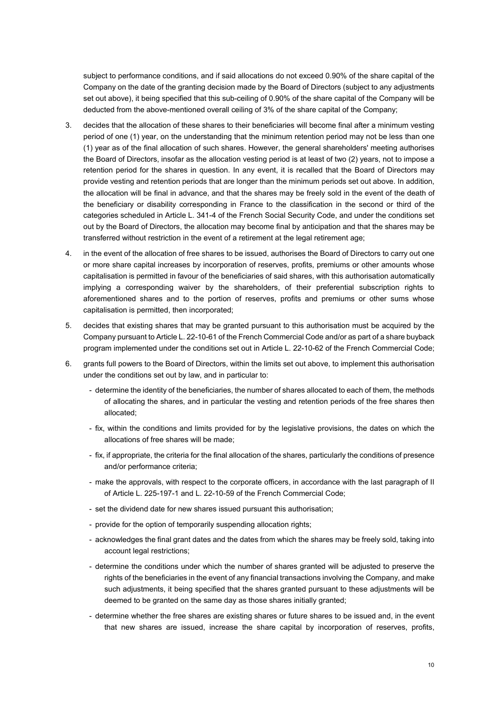subject to performance conditions, and if said allocations do not exceed 0.90% of the share capital of the Company on the date of the granting decision made by the Board of Directors (subject to any adjustments set out above), it being specified that this sub-ceiling of 0.90% of the share capital of the Company will be deducted from the above-mentioned overall ceiling of 3% of the share capital of the Company;

- 3. decides that the allocation of these shares to their beneficiaries will become final after a minimum vesting period of one (1) year, on the understanding that the minimum retention period may not be less than one (1) year as of the final allocation of such shares. However, the general shareholders' meeting authorises the Board of Directors, insofar as the allocation vesting period is at least of two (2) years, not to impose a retention period for the shares in question. In any event, it is recalled that the Board of Directors may provide vesting and retention periods that are longer than the minimum periods set out above. In addition, the allocation will be final in advance, and that the shares may be freely sold in the event of the death of the beneficiary or disability corresponding in France to the classification in the second or third of the categories scheduled in Article L. 341-4 of the French Social Security Code, and under the conditions set out by the Board of Directors, the allocation may become final by anticipation and that the shares may be transferred without restriction in the event of a retirement at the legal retirement age;
- 4. in the event of the allocation of free shares to be issued, authorises the Board of Directors to carry out one or more share capital increases by incorporation of reserves, profits, premiums or other amounts whose capitalisation is permitted in favour of the beneficiaries of said shares, with this authorisation automatically implying a corresponding waiver by the shareholders, of their preferential subscription rights to aforementioned shares and to the portion of reserves, profits and premiums or other sums whose capitalisation is permitted, then incorporated;
- 5. decides that existing shares that may be granted pursuant to this authorisation must be acquired by the Company pursuant to Article L. 22-10-61 of the French Commercial Code and/or as part of a share buyback program implemented under the conditions set out in Article L. 22-10-62 of the French Commercial Code;
- 6. grants full powers to the Board of Directors, within the limits set out above, to implement this authorisation under the conditions set out by law, and in particular to:
	- determine the identity of the beneficiaries, the number of shares allocated to each of them, the methods of allocating the shares, and in particular the vesting and retention periods of the free shares then allocated;
	- fix, within the conditions and limits provided for by the legislative provisions, the dates on which the allocations of free shares will be made;
	- fix, if appropriate, the criteria for the final allocation of the shares, particularly the conditions of presence and/or performance criteria;
	- make the approvals, with respect to the corporate officers, in accordance with the last paragraph of II of Article L. 225-197-1 and L. 22-10-59 of the French Commercial Code;
	- set the dividend date for new shares issued pursuant this authorisation;
	- provide for the option of temporarily suspending allocation rights;
	- acknowledges the final grant dates and the dates from which the shares may be freely sold, taking into account legal restrictions;
	- determine the conditions under which the number of shares granted will be adjusted to preserve the rights of the beneficiaries in the event of any financial transactions involving the Company, and make such adjustments, it being specified that the shares granted pursuant to these adjustments will be deemed to be granted on the same day as those shares initially granted;
	- determine whether the free shares are existing shares or future shares to be issued and, in the event that new shares are issued, increase the share capital by incorporation of reserves, profits,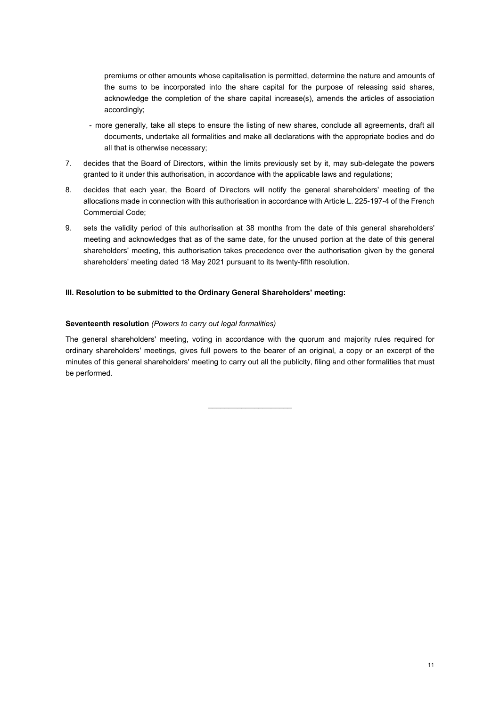premiums or other amounts whose capitalisation is permitted, determine the nature and amounts of the sums to be incorporated into the share capital for the purpose of releasing said shares, acknowledge the completion of the share capital increase(s), amends the articles of association accordingly;

- more generally, take all steps to ensure the listing of new shares, conclude all agreements, draft all documents, undertake all formalities and make all declarations with the appropriate bodies and do all that is otherwise necessary;
- 7. decides that the Board of Directors, within the limits previously set by it, may sub-delegate the powers granted to it under this authorisation, in accordance with the applicable laws and regulations;
- 8. decides that each year, the Board of Directors will notify the general shareholders' meeting of the allocations made in connection with this authorisation in accordance with Article L. 225-197-4 of the French Commercial Code;
- 9. sets the validity period of this authorisation at 38 months from the date of this general shareholders' meeting and acknowledges that as of the same date, for the unused portion at the date of this general shareholders' meeting, this authorisation takes precedence over the authorisation given by the general shareholders' meeting dated 18 May 2021 pursuant to its twenty-fifth resolution.

## **III. Resolution to be submitted to the Ordinary General Shareholders' meeting:**

### **Seventeenth resolution** *(Powers to carry out legal formalities)*

The general shareholders' meeting, voting in accordance with the quorum and majority rules required for ordinary shareholders' meetings, gives full powers to the bearer of an original, a copy or an excerpt of the minutes of this general shareholders' meeting to carry out all the publicity, filing and other formalities that must be performed.

 $\_$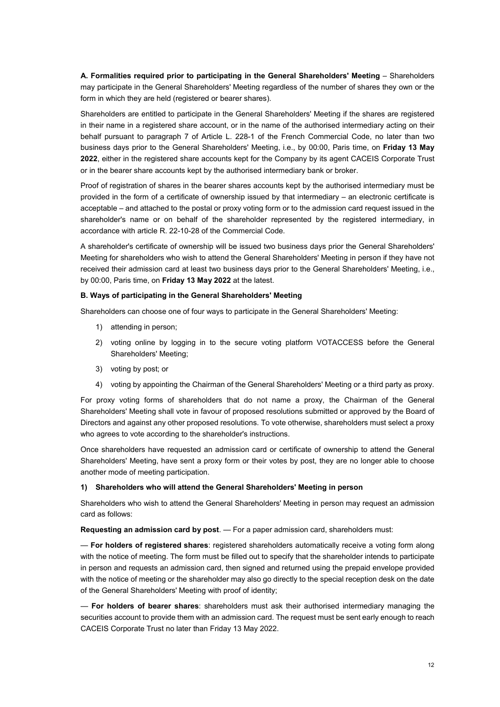A. Formalities required prior to participating in the General Shareholders' Meeting – Shareholders may participate in the General Shareholders' Meeting regardless of the number of shares they own or the form in which they are held (registered or bearer shares).

Shareholders are entitled to participate in the General Shareholders' Meeting if the shares are registered in their name in a registered share account, or in the name of the authorised intermediary acting on their behalf pursuant to paragraph 7 of Article L. 228-1 of the French Commercial Code, no later than two business days prior to the General Shareholders' Meeting, i.e., by 00:00, Paris time, on **Friday 13 May 2022**, either in the registered share accounts kept for the Company by its agent CACEIS Corporate Trust or in the bearer share accounts kept by the authorised intermediary bank or broker.

Proof of registration of shares in the bearer shares accounts kept by the authorised intermediary must be provided in the form of a certificate of ownership issued by that intermediary – an electronic certificate is acceptable – and attached to the postal or proxy voting form or to the admission card request issued in the shareholder's name or on behalf of the shareholder represented by the registered intermediary, in accordance with article R. 22-10-28 of the Commercial Code.

A shareholder's certificate of ownership will be issued two business days prior the General Shareholders' Meeting for shareholders who wish to attend the General Shareholders' Meeting in person if they have not received their admission card at least two business days prior to the General Shareholders' Meeting, i.e., by 00:00, Paris time, on **Friday 13 May 2022** at the latest.

### **B. Ways of participating in the General Shareholders' Meeting**

Shareholders can choose one of four ways to participate in the General Shareholders' Meeting:

- 1) attending in person;
- 2) voting online by logging in to the secure voting platform VOTACCESS before the General Shareholders' Meeting;
- 3) voting by post; or
- 4) voting by appointing the Chairman of the General Shareholders' Meeting or a third party as proxy.

For proxy voting forms of shareholders that do not name a proxy, the Chairman of the General Shareholders' Meeting shall vote in favour of proposed resolutions submitted or approved by the Board of Directors and against any other proposed resolutions. To vote otherwise, shareholders must select a proxy who agrees to vote according to the shareholder's instructions.

Once shareholders have requested an admission card or certificate of ownership to attend the General Shareholders' Meeting, have sent a proxy form or their votes by post, they are no longer able to choose another mode of meeting participation.

### **1) Shareholders who will attend the General Shareholders' Meeting in person**

Shareholders who wish to attend the General Shareholders' Meeting in person may request an admission card as follows:

**Requesting an admission card by post**. — For a paper admission card, shareholders must:

— **For holders of registered shares**: registered shareholders automatically receive a voting form along with the notice of meeting. The form must be filled out to specify that the shareholder intends to participate in person and requests an admission card, then signed and returned using the prepaid envelope provided with the notice of meeting or the shareholder may also go directly to the special reception desk on the date of the General Shareholders' Meeting with proof of identity;

— **For holders of bearer shares**: shareholders must ask their authorised intermediary managing the securities account to provide them with an admission card. The request must be sent early enough to reach CACEIS Corporate Trust no later than Friday 13 May 2022.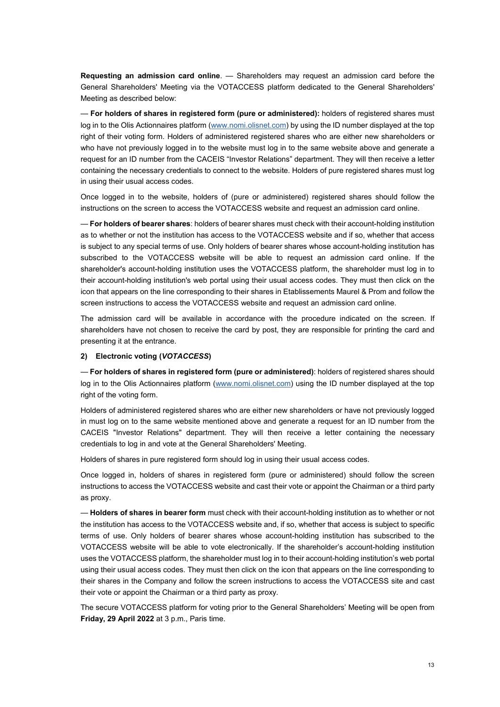**Requesting an admission card online**. — Shareholders may request an admission card before the General Shareholders' Meeting via the VOTACCESS platform dedicated to the General Shareholders' Meeting as described below:

— **For holders of shares in registered form (pure or administered):** holders of registered shares must log in to the Olis Actionnaires platform [\(www.nomi.olisnet.com\)](http://www.nomi.olisnet.com/) by using the ID number displayed at the top right of their voting form. Holders of administered registered shares who are either new shareholders or who have not previously logged in to the website must log in to the same website above and generate a request for an ID number from the CACEIS "Investor Relations" department. They will then receive a letter containing the necessary credentials to connect to the website. Holders of pure registered shares must log in using their usual access codes.

Once logged in to the website, holders of (pure or administered) registered shares should follow the instructions on the screen to access the VOTACCESS website and request an admission card online.

— **For holders of bearer shares**: holders of bearer shares must check with their account-holding institution as to whether or not the institution has access to the VOTACCESS website and if so, whether that access is subject to any special terms of use. Only holders of bearer shares whose account-holding institution has subscribed to the VOTACCESS website will be able to request an admission card online. If the shareholder's account-holding institution uses the VOTACCESS platform, the shareholder must log in to their account-holding institution's web portal using their usual access codes. They must then click on the icon that appears on the line corresponding to their shares in Etablissements Maurel & Prom and follow the screen instructions to access the VOTACCESS website and request an admission card online.

The admission card will be available in accordance with the procedure indicated on the screen. If shareholders have not chosen to receive the card by post, they are responsible for printing the card and presenting it at the entrance.

### **2) Electronic voting (***VOTACCESS***)**

— **For holders of shares in registered form (pure or administered)**: holders of registered shares should log in to the Olis Actionnaires platform [\(www.nomi.olisnet.com\)](http://www.nomi.olisnet.com/) using the ID number displayed at the top right of the voting form.

Holders of administered registered shares who are either new shareholders or have not previously logged in must log on to the same website mentioned above and generate a request for an ID number from the CACEIS "Investor Relations" department. They will then receive a letter containing the necessary credentials to log in and vote at the General Shareholders' Meeting.

Holders of shares in pure registered form should log in using their usual access codes.

Once logged in, holders of shares in registered form (pure or administered) should follow the screen instructions to access the VOTACCESS website and cast their vote or appoint the Chairman or a third party as proxy.

— **Holders of shares in bearer form** must check with their account-holding institution as to whether or not the institution has access to the VOTACCESS website and, if so, whether that access is subject to specific terms of use. Only holders of bearer shares whose account-holding institution has subscribed to the VOTACCESS website will be able to vote electronically. If the shareholder's account-holding institution uses the VOTACCESS platform, the shareholder must log in to their account-holding institution's web portal using their usual access codes. They must then click on the icon that appears on the line corresponding to their shares in the Company and follow the screen instructions to access the VOTACCESS site and cast their vote or appoint the Chairman or a third party as proxy.

The secure VOTACCESS platform for voting prior to the General Shareholders' Meeting will be open from **Friday, 29 April 2022** at 3 p.m., Paris time.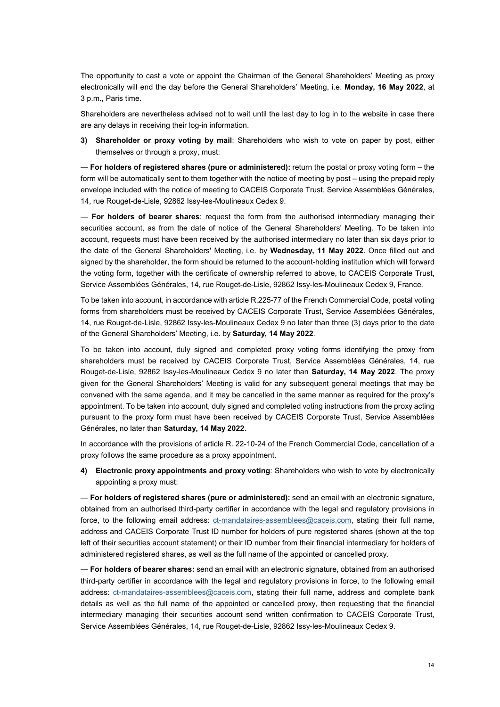The opportunity to cast a vote or appoint the Chairman of the General Shareholders' Meeting as proxy electronically will end the day before the General Shareholders' Meeting, i.e. **Monday, 16 May 2022**, at 3 p.m., Paris time.

Shareholders are nevertheless advised not to wait until the last day to log in to the website in case there are any delays in receiving their log-in information.

**3) Shareholder or proxy voting by mail**: Shareholders who wish to vote on paper by post, either themselves or through a proxy, must:

— **For holders of registered shares (pure or administered):** return the postal or proxy voting form – the form will be automatically sent to them together with the notice of meeting by post – using the prepaid reply envelope included with the notice of meeting to CACEIS Corporate Trust, Service Assemblées Générales, 14, rue Rouget-de-Lisle, 92862 Issy-les-Moulineaux Cedex 9.

— **For holders of bearer shares**: request the form from the authorised intermediary managing their securities account, as from the date of notice of the General Shareholders' Meeting. To be taken into account, requests must have been received by the authorised intermediary no later than six days prior to the date of the General Shareholders' Meeting, i.e. by **Wednesday, 11 May 2022**. Once filled out and signed by the shareholder, the form should be returned to the account-holding institution which will forward the voting form, together with the certificate of ownership referred to above, to CACEIS Corporate Trust, Service Assemblées Générales, 14, rue Rouget-de-Lisle, 92862 Issy-les-Moulineaux Cedex 9, France*.* 

To be taken into account, in accordance with article R.225-77 of the French Commercial Code, postal voting forms from shareholders must be received by CACEIS Corporate Trust, Service Assemblées Générales, 14, rue Rouget-de-Lisle, 92862 Issy-les-Moulineaux Cedex 9 no later than three (3) days prior to the date of the General Shareholders' Meeting, i.e. by **Saturday, 14 May 2022***.* 

To be taken into account, duly signed and completed proxy voting forms identifying the proxy from shareholders must be received by CACEIS Corporate Trust, Service Assemblées Générales, 14, rue Rouget-de-Lisle, 92862 Issy-les-Moulineaux Cedex 9 no later than **Saturday, 14 May 2022**. The proxy given for the General Shareholders' Meeting is valid for any subsequent general meetings that may be convened with the same agenda, and it may be cancelled in the same manner as required for the proxy's appointment. To be taken into account, duly signed and completed voting instructions from the proxy acting pursuant to the proxy form must have been received by CACEIS Corporate Trust, Service Assemblées Générales, no later than **Saturday, 14 May 2022**.

In accordance with the provisions of article R. 22-10-24 of the French Commercial Code, cancellation of a proxy follows the same procedure as a proxy appointment.

**4) Electronic proxy appointments and proxy voting**: Shareholders who wish to vote by electronically appointing a proxy must:

— **For holders of registered shares (pure or administered):** send an email with an electronic signature, obtained from an authorised third-party certifier in accordance with the legal and regulatory provisions in force, to the following email address: [ct-mandataires-assemblees@caceis.com,](mailto:ct-mandataires-assemblees@caceis.com) stating their full name, address and CACEIS Corporate Trust ID number for holders of pure registered shares (shown at the top left of their securities account statement) or their ID number from their financial intermediary for holders of administered registered shares, as well as the full name of the appointed or cancelled proxy*.* 

— **For holders of bearer shares:** send an email with an electronic signature, obtained from an authorised third-party certifier in accordance with the legal and regulatory provisions in force, to the following email address: [ct-mandataires-assemblees@caceis.com,](mailto:ct-mandataires-assemblees@caceis.com) stating their full name, address and complete bank details as well as the full name of the appointed or cancelled proxy, then requesting that the financial intermediary managing their securities account send written confirmation to CACEIS Corporate Trust, Service Assemblées Générales, 14, rue Rouget-de-Lisle, 92862 Issy-les-Moulineaux Cedex 9.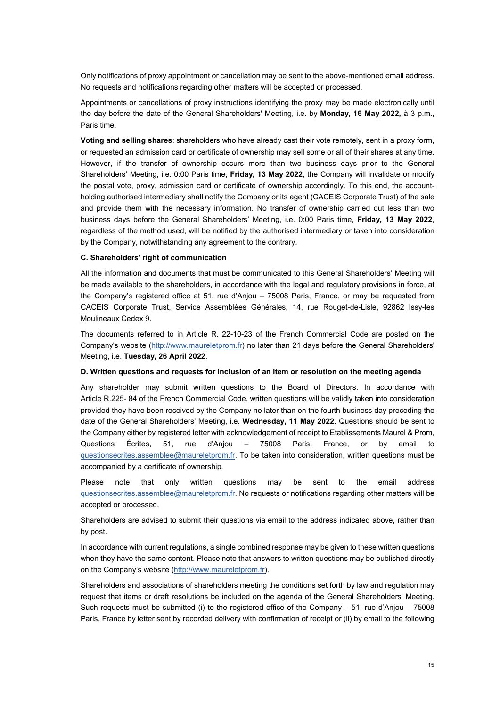Only notifications of proxy appointment or cancellation may be sent to the above-mentioned email address. No requests and notifications regarding other matters will be accepted or processed*.* 

Appointments or cancellations of proxy instructions identifying the proxy may be made electronically until the day before the date of the General Shareholders' Meeting, i.e. by **Monday, 16 May 2022,** à 3 p.m., Paris time.

**Voting and selling shares**: shareholders who have already cast their vote remotely, sent in a proxy form, or requested an admission card or certificate of ownership may sell some or all of their shares at any time. However, if the transfer of ownership occurs more than two business days prior to the General Shareholders' Meeting, i.e. 0:00 Paris time, **Friday, 13 May 2022**, the Company will invalidate or modify the postal vote, proxy, admission card or certificate of ownership accordingly. To this end, the accountholding authorised intermediary shall notify the Company or its agent (CACEIS Corporate Trust) of the sale and provide them with the necessary information. No transfer of ownership carried out less than two business days before the General Shareholders' Meeting, i.e. 0:00 Paris time, **Friday, 13 May 2022**, regardless of the method used, will be notified by the authorised intermediary or taken into consideration by the Company, notwithstanding any agreement to the contrary.

### **C. Shareholders' right of communication**

All the information and documents that must be communicated to this General Shareholders' Meeting will be made available to the shareholders, in accordance with the legal and regulatory provisions in force, at the Company's registered office at 51, rue d'Anjou – 75008 Paris, France, or may be requested from CACEIS Corporate Trust, Service Assemblées Générales, 14, rue Rouget-de-Lisle, 92862 Issy-les Moulineaux Cedex 9.

The documents referred to in Article R. 22-10-23 of the French Commercial Code are posted on the Company's website [\(http://www.maureletprom.fr\)](http://www.maureletprom.fr/) no later than 21 days before the General Shareholders' Meeting, i.e. **Tuesday, 26 April 2022**.

### **D. Written questions and requests for inclusion of an item or resolution on the meeting agenda**

Any shareholder may submit written questions to the Board of Directors. In accordance with Article R.225- 84 of the French Commercial Code, written questions will be validly taken into consideration provided they have been received by the Company no later than on the fourth business day preceding the date of the General Shareholders' Meeting, i.e. **Wednesday, 11 May 2022**. Questions should be sent to the Company either by registered letter with acknowledgement of receipt to Etablissements Maurel & Prom, Questions Écrites, 51, rue d'Anjou – 75008 Paris, France, or by email to [questionsecrites.assemblee@maureletprom.fr.](mailto:questionsecrites.assemblee@maureletprom.fr) To be taken into consideration, written questions must be accompanied by a certificate of ownership*.* 

Please note that only written questions may be sent to the email address [questionsecrites.assemblee@maureletprom.fr.](mailto:questionsecrites.assemblee@maureletprom.fr) No requests or notifications regarding other matters will be accepted or processed.

Shareholders are advised to submit their questions via email to the address indicated above, rather than by post.

In accordance with current regulations, a single combined response may be given to these written questions when they have the same content. Please note that answers to written questions may be published directly on the Company's website [\(http://www.maureletprom.fr\)](http://www.maureletprom.fr/).

Shareholders and associations of shareholders meeting the conditions set forth by law and regulation may request that items or draft resolutions be included on the agenda of the General Shareholders' Meeting. Such requests must be submitted (i) to the registered office of the Company – 51, rue d'Anjou – 75008 Paris, France by letter sent by recorded delivery with confirmation of receipt or (ii) by email to the following